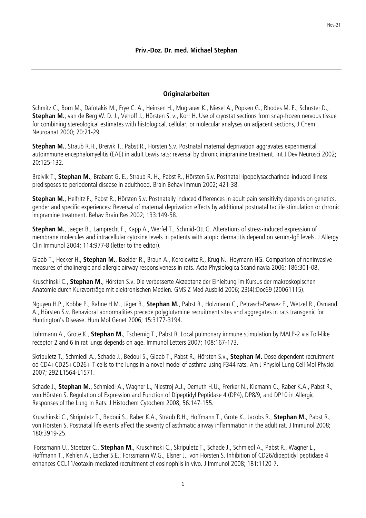## **Originalarbeiten**

Schmitz C., Born M., Dafotakis M., Frye C. A., Heinsen H., Mugrauer K., Niesel A., Popken G., Rhodes M. E., Schuster D., **Stephan M.**, van de Berg W. D. J., Vehoff J., Hörsten S. v., Korr H. Use of cryostat sections from snap-frozen nervous tissue for combining stereological estimates with histological, cellular, or molecular analyses on adjacent sections, J Chem Neuroanat 2000; 20:21-29.

**Stephan M.**, Straub R.H., Breivik T., Pabst R., Hörsten S.v. Postnatal maternal deprivation aggravates experimental autoimmune encephalomyelitis (EAE) in adult Lewis rats: reversal by chronic imipramine treatment. Int J Dev Neurosci 2002; 20:125-132.

Breivik T., **Stephan M.**, Brabant G. E., Straub R. H., Pabst R., Hörsten S.v. Postnatal lipopolysaccharinde-induced illness predisposes to periodontal disease in adulthood. Brain Behav Immun 2002; 421-38.

**Stephan M.**, Helfritz F., Pabst R., Hörsten S.v. Postnatally induced differences in adult pain sensitivity depends on genetics, gender and specific experiences: Reversal of maternal deprivation effects by additional postnatal tactile stimulation or chronic imipramine treatment. Behav Brain Res 2002; 133:149-58.

**Stephan M.**, Jaeger B., Lamprecht F., Kapp A., Werfel T., Schmid-Ott G. Alterations of stress-induced expression of membrane molecules and intracellular cytokine levels in patients with atopic dermatitis depend on serum-IgE levels. J Allergy Clin Immunol 2004; 114:977-8 (letter to the editor).

Glaab T., Hecker H., **Stephan M.**, Baelder R., Braun A., Korolewitz R., Krug N., Hoymann HG. Comparison of noninvasive measures of cholinergic and allergic airway responsiveness in rats. Acta Physiologica Scandinavia 2006; 186:301-08.

Kruschinski C., **Stephan M.**, Hörsten S.v. Die verbesserte Akzeptanz der Einleitung im Kursus der makroskopischen Anatomie durch Kurzvorträge mit elektronischen Medien. GMS Z Med Ausbild 2006; 23(4):Doc69 (20061115).

Nguyen H.P., Kobbe P., Rahne H.M., Jäger B., **Stephan M.**, Pabst R., Holzmann C., Petrasch-Parwez E., Wetzel R., Osmand A., Hörsten S.v. Behavioral abnormalities precede polyglutamine recruitment sites and aggregates in rats transgenic for Huntington's Disease. Hum Mol Genet 2006; 15:3177-3194.

Lührmann A., Grote K., **Stephan M.**, Tschernig T., Pabst R. Local pulmonary immune stimulation by MALP-2 via Toll-like receptor 2 and 6 in rat lungs depends on age. Immunol Letters 2007; 108:167-173.

Skripuletz T., Schmiedl A., Schade J., Bedoui S., Glaab T., Pabst R., Hörsten S.v., **Stephan M.** Dose dependent recruitment od CD4+CD25+CD26+ T cells to the lungs in a novel model of asthma using F344 rats. Am J Physiol Lung Cell Mol Physiol 2007; 292:L1564-L1571.

Schade J., **Stephan M.**, Schmiedl A., Wagner L., Niestroj A.J., Demuth H.U., Frerker N., Klemann C., Raber K.A., Pabst R., von Hörsten S. Regulation of Expression and Function of Dipeptidyl Peptidase 4 (DP4), DP8/9, and DP10 in Allergic Responses of the Lung in Rats. J Histochem Cytochem 2008; 56:147-155.

Kruschinski C., Skripuletz T., Bedoui S., Raber K.A., Straub R.H., Hoffmann T., Grote K., Jacobs R., **Stephan M.**, Pabst R., von Hörsten S. Postnatal life events affect the severity of asthmatic airway inflammation in the adult rat. J Immunol 2008; 180:3919-25.

Forssmann U., Stoetzer C., **Stephan M.**, Kruschinski C., Skripuletz T., Schade J., Schmiedl A., Pabst R., Wagner L., Hoffmann T., Kehlen A., Escher S.E., Forssmann W.G., Elsner J., von Hörsten S. Inhibition of CD26/dipeptidyl peptidase 4 enhances CCL11/eotaxin-mediated recruitment of eosinophils in vivo. J Immunol 2008; 181:1120-7.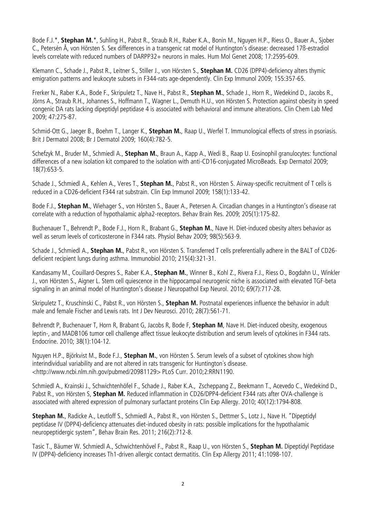Bode F.J.\*, **Stephan M.**\*, Suhling H., Pabst R., Straub R.H., Raber K.A., Bonin M., Nguyen H.P., Riess O., Bauer A., Sjober C., Petersén Å, von Hörsten S. Sex differences in a transgenic rat model of Huntington's disease: decreased 17ß-estradiol levels correlate with reduced numbers of DARPP32+ neurons in males. Hum Mol Genet 2008; 17:2595-609.

Klemann C., Schade J., Pabst R., Leitner S., Stiller J., von Hörsten S., **Stephan M.** CD26 (DPP4)-deficiency alters thymic emigration patterns and leukocyte subsets in F344-rats age-dependently. Clin Exp Immunol 2009; 155:357-65.

Frerker N., Raber K.A., Bode F., Skripuletz T., Nave H., Pabst R., **Stephan M.**, Schade J., Horn R., Wedekind D., Jacobs R., Jörns A., Straub R.H., Johannes S., Hoffmann T., Wagner L., Demuth H.U., von Hörsten S. Protection against obesity in speed congenic DA rats lacking dipeptidyl peptidase 4 is associated with behavioral and immune alterations. Clin Chem Lab Med 2009; 47:275-87.

Schmid-Ott G., Jaeger B., Boehm T., Langer K., **Stephan M.**, Raap U., Werfel T. Immunological effects of stress in psoriasis. Brit J Dermatol 2008; Br J Dermatol 2009; 160(4):782-5.

Schefzyk M., Bruder M., Schmiedl A., **Stephan M.**, Braun A., Kapp A., Wedi B., Raap U. Eosinophil granulocytes: functional differences of a new isolation kit compared to the isolation with anti-CD16-conjugated MicroBeads. Exp Dermatol 2009; 18(7):653-5.

Schade J., Schmiedl A., Kehlen A., Veres T., **Stephan M.**, Pabst R., von Hörsten S. Airway-specific recruitment of T cells is reduced in a CD26-deficient F344 rat substrain. Clin Exp Immunol 2009; 158(1):133-42.

Bode F.J., **Stephan M.**, Wiehager S., von Hörsten S., Bauer A., Petersen A. Circadian changes in a Huntington's disease rat correlate with a reduction of hypothalamic alpha2-receptors. Behav Brain Res. 2009; 205(1):175-82.

Buchenauer T., Behrendt P., Bode F.J., Horn R., Brabant G., **Stephan M.**, Nave H. Diet-induced obesity alters behavior as well as serum levels of corticosterone in F344 rats. Physiol Behav 2009; 98(5):563-9.

Schade J., Schmiedl A., **Stephan M.**, Pabst R., von Hörsten S. Transferred T cells preferentially adhere in the BALT of CD26 deficient recipient lungs during asthma. Immunobiol 2010; 215(4):321-31.

Kandasamy M., Couillard-Despres S., Raber K.A., **Stephan M.**, Winner B., Kohl Z., Rivera F.J., Riess O., Bogdahn U., Winkler J., von Hörsten S., Aigner L. Stem cell quiescence in the hippocampal neurogenic niche is associated with elevated TGF-beta signaling in an animal model of Huntington's disease J Neuropathol Exp Neurol. 2010; 69(7):717-28.

Skripuletz T., Kruschinski C., Pabst R., von Hörsten S., **Stephan M.** Postnatal experiences influence the behavior in adult male and female Fischer and Lewis rats. Int J Dev Neurosci. 2010; 28(7):561-71.

Behrendt P, Buchenauer T, Horn R, Brabant G, Jacobs R, Bode F, **Stephan M**, Nave H. Diet-induced obesity, exogenous leptin-, and MADB106 tumor cell challenge affect tissue leukocyte distribution and serum levels of cytokines in F344 rats. Endocrine. 2010; 38(1):104-12.

Nguyen H.P., Björkvist M., Bode F.J., **Stephan M.**, von Hörsten S. Serum levels of a subset of cytokines show high interindividual variability and are not altered in rats transgenic for Huntington´s disease. [<http://www.ncbi.nlm.nih.gov/pubmed/20981129>](http://www.ncbi.nlm.nih.gov/pubmed/20981129) PLoS Curr. 2010;2:RRN1190.

Schmiedl A., Krainski J., Schwichtenhöfel F., Schade J., Raber K.A., Zscheppang Z., Beekmann T., Acevedo C., Wedekind D., Pabst R., von Hörsten S, **Stephan M.** Reduced inflammation in CD26/DPP4-deficient F344 rats after OVA-challenge is associated with altered expression of pulmonary surfactant proteins Clin Exp Allergy. 2010; 40(12):1794-808.

**Stephan M.**, Radicke A., Leutloff S., Schmiedl A., Pabst R., von Hörsten S., Dettmer S., Lotz J., Nave H. "Dipeptidyl peptidase IV (DPP4)-deficiency attenuates diet-induced obesity in rats: possible implications for the hypothalamic neuropeptidergic system", Behav Brain Res. 2011; 216(2):712-8.

Tasic T., Bäumer W. Schmiedl A., Schwichtenhövel F., Pabst R., Raap U., von Hörsten S., **Stephan M.** Dipeptidyl Peptidase IV (DPP4)-deficiency increases Th1-driven allergic contact dermatitis. Clin Exp Allergy 2011; 41:1098-107.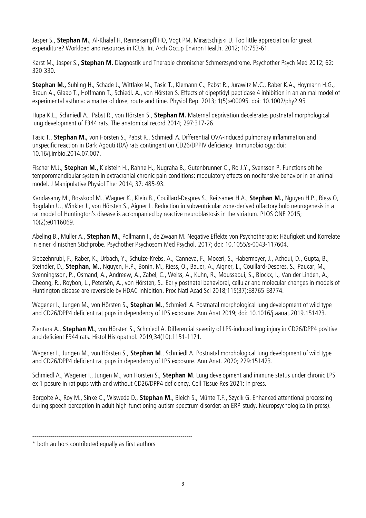Jasper S., **Stephan M.**, Al-Khalaf H, Rennekampff HO, Vogt PM, Mirastschijski U. Too little appreciation for great expenditure? Workload and resources in ICUs. Int Arch Occup Environ Health. 2012; 10:753-61.

Karst M., Jasper S., **Stephan M.** Diagnostik und Therapie chronischer Schmerzsyndrome. Psychother Psych Med 2012; 62: 320-330.

**Stephan M.,** Suhling H., Schade J., Wittlake M., Tasic T., Klemann C., Pabst R., Jurawitz M.C., Raber K.A., Hoymann H.G., Braun A., Glaab T., Hoffmann T., Schiedl. A., von Hörsten S. Effects of dipeptidyl-peptidase 4 inhibition in an animal model of experimental asthma: a matter of dose, route and time. Physiol Rep. 2013; 1(5):e00095. doi: 10.1002/phy2.95

Hupa K.L., Schmiedl A., Pabst R., von Hörsten S., **Stephan M.** Maternal deprivation decelerates postnatal morphological lung development of F344 rats. The anatomical record 2014; 297:317-26.

Tasic T., **Stephan M.,** von Hörsten S., Pabst R., Schmiedl A. Differential OVA-induced pulmonary inflammation and unspecific reaction in Dark Agouti (DA) rats contingent on CD26/DPPIV deficiency. Immunobiology; doi: 10.16/j.imbio.2014.07.007.

Fischer M.J., **Stephan M.,** Kielstein H., Rahne H., Nugraha B., Gutenbrunner C., Ro J.Y., Svensson P. Functions oft he temporomandibular system in extracranial chronic pain conditions: modulatory effects on nocifensive behavior in an animal model. J Manipulative Physiol Ther 2014; 37: 485-93.

Kandasamy M., Rosskopf M., Wagner K., Klein B., Couillard-Despres S., Reitsamer H.A., **Stephan M.,** Nguyen H.P., Riess O, Bogdahn U., Winkler J., von Hörsten S., Aigner L. Reduction in subventricular zone-derived olfactory bulb neurogenesis in a rat model of Huntington's disease is accompanied by reactive neuroblastosis in the striatum. PLOS ONE 2015; 10(2):e0116069.

Abeling B., Müller A., **Stephan M.**, Pollmann I., de Zwaan M. Negative Effekte von Psychotherapie: Häufigkeit und Korrelate in einer klinischen Stichprobe. Psychother Psychosom Med Psychol. 2017; doi: 10.1055/s-0043-117604.

Siebzehnrubl, F., Raber, K., Urbach, Y., Schulze-Krebs, A., Canneva, F., Moceri, S., Habermeyer, J., Achoui, D., Gupta, B., Steindler, D., **Stephan, M.,** Nguyen, H.P., Bonin, M., Riess, O., Bauer, A., Aigner, L., Couillard-Despres, S., Paucar, M., Svenningsson, P., Osmand, A., Andreew, A., Zabel, C., Weiss, A., Kuhn, R., Moussaoui, S., Blockx, I., Van der Linden, A., Cheong, R., Roybon, L., Petersén, A., von Hörsten, S.. Early postnatal behavioral, cellular and molecular changes in models of Huntington disease are reversible by HDAC inhibition. Proc Natl Acad Sci 2018;115(37):E8765-E8774.

Wagener I., Jungen M., von Hörsten S., **Stephan M.**, Schmiedl A. Postnatal morphological lung development of wild type and CD26/DPP4 deficient rat pups in dependency of LPS exposure. Ann Anat 2019; doi: 10.1016/j.aanat.2019.151423.

Zientara A., **Stephan M.**, von Hörsten S., Schmiedl A. Differential severity of LPS-induced lung injury in CD26/DPP4 positive and deficient F344 rats. Histol Histopathol. 2019;34(10):1151-1171.

Wagener I., Jungen M., von Hörsten S., **Stephan M**., Schmiedl A. [Postnatal morphological lung development of wild type](https://pubmed.ncbi.nlm.nih.gov/31654734/)  [and CD26/DPP4 deficient rat pups in dependency of LPS exposure.](https://pubmed.ncbi.nlm.nih.gov/31654734/) Ann Anat. 2020; 229:151423.

Schmiedl A., Wagener I., Jungen M., von Hörsten S., **Stephan M**. Lung development and immune status under chronic LPS ex 1 posure in rat pups with and without CD26/DPP4 deficiency. Cell Tissue Res 2021: in press.

Borgolte A., Roy M., Sinke C., Wiswede D., **Stephan M.**, Bleich S., Münte T.F., Szycik G. Enhanced attentional processing during speech perception in adult high-functioning autism spectrum disorder: an ERP-study. Neuropsychologica (in press).

<sup>--------------------------------------------------------------------------------</sup>

<sup>\*</sup> both authors contributed equally as first authors